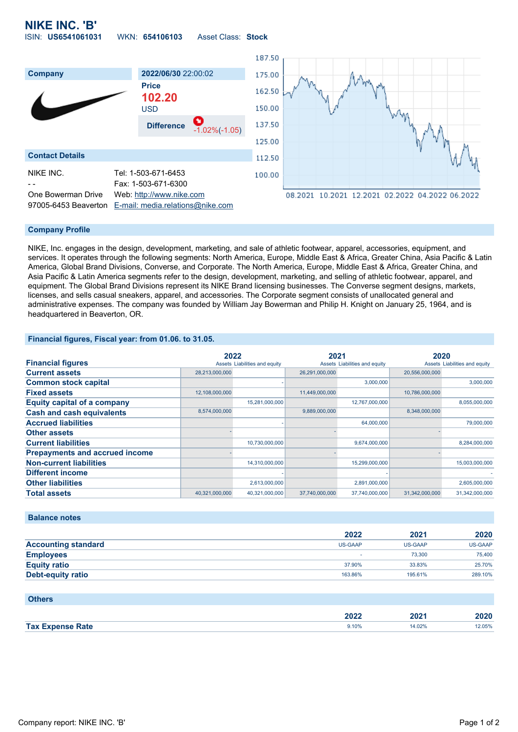## **NIKE INC. 'B'** ISIN: **US6541061031** WKN: **654106103** Asset Class: **Stock**



#### **Company Profile**

NIKE, Inc. engages in the design, development, marketing, and sale of athletic footwear, apparel, accessories, equipment, and services. It operates through the following segments: North America, Europe, Middle East & Africa, Greater China, Asia Pacific & Latin America, Global Brand Divisions, Converse, and Corporate. The North America, Europe, Middle East & Africa, Greater China, and Asia Pacific & Latin America segments refer to the design, development, marketing, and selling of athletic footwear, apparel, and equipment. The Global Brand Divisions represent its NIKE Brand licensing businesses. The Converse segment designs, markets, licenses, and sells casual sneakers, apparel, and accessories. The Corporate segment consists of unallocated general and administrative expenses. The company was founded by William Jay Bowerman and Philip H. Knight on January 25, 1964, and is headquartered in Beaverton, OR.

### **Financial figures, Fiscal year: from 01.06. to 31.05.**

|                                       | 2022           |                               | 2021           |                               | 2020           |                               |
|---------------------------------------|----------------|-------------------------------|----------------|-------------------------------|----------------|-------------------------------|
| <b>Financial figures</b>              |                | Assets Liabilities and equity |                | Assets Liabilities and equity |                | Assets Liabilities and equity |
| <b>Current assets</b>                 | 28,213,000,000 |                               | 26,291,000,000 |                               | 20,556,000,000 |                               |
| <b>Common stock capital</b>           |                |                               |                | 3,000,000                     |                | 3,000,000                     |
| <b>Fixed assets</b>                   | 12,108,000,000 |                               | 11,449,000,000 |                               | 10,786,000,000 |                               |
| <b>Equity capital of a company</b>    |                | 15,281,000,000                |                | 12,767,000,000                |                | 8,055,000,000                 |
| <b>Cash and cash equivalents</b>      | 8,574,000,000  |                               | 9,889,000,000  |                               | 8,348,000,000  |                               |
| <b>Accrued liabilities</b>            |                |                               |                | 64,000,000                    |                | 79,000,000                    |
| <b>Other assets</b>                   |                |                               |                |                               |                |                               |
| <b>Current liabilities</b>            |                | 10,730,000,000                |                | 9,674,000,000                 |                | 8,284,000,000                 |
| <b>Prepayments and accrued income</b> |                |                               |                |                               |                |                               |
| <b>Non-current liabilities</b>        |                | 14,310,000,000                |                | 15,299,000,000                |                | 15,003,000,000                |
| <b>Different income</b>               |                |                               |                |                               |                |                               |
| <b>Other liabilities</b>              |                | 2,613,000,000                 |                | 2,891,000,000                 |                | 2,605,000,000                 |
| <b>Total assets</b>                   | 40,321,000,000 | 40,321,000,000                | 37,740,000,000 | 37,740,000,000                | 31,342,000,000 | 31,342,000,000                |

### **Balance notes**

|                            | 2022           | 2021           | 2020           |
|----------------------------|----------------|----------------|----------------|
| <b>Accounting standard</b> | <b>US-GAAP</b> | <b>US-GAAP</b> | <b>US-GAAP</b> |
| <b>Employees</b>           |                | 73,300         | 75,400         |
| <b>Equity ratio</b>        | 37.90%         | 33.83%         | 25.70%         |
| Debt-equity ratio          | 163.86%        | 195.61%        | 289.10%        |

#### **Others**

|            |       |       | חרח   |
|------------|-------|-------|-------|
|            | nnne  | -07   | ~V⊥V  |
|            | ZUZZ  |       |       |
| <b>Tax</b> | ).10% | 4.02% | 2.05% |
| रate       | .     |       | .     |